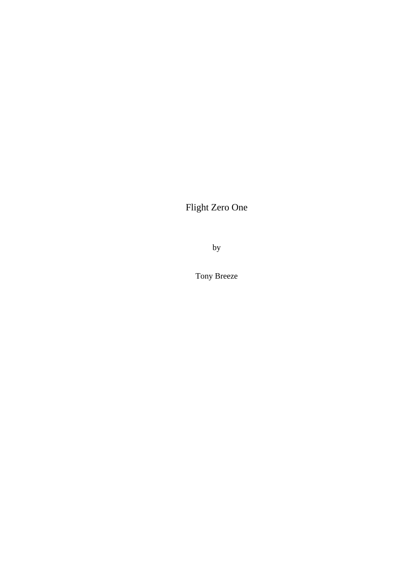Flight Zero One

by

Tony Breeze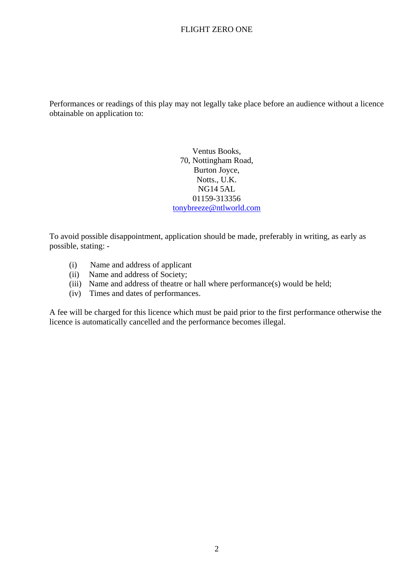Performances or readings of this play may not legally take place before an audience without a licence obtainable on application to:

> Ventus Books, 70, Nottingham Road, Burton Joyce, Notts., U.K. NG14 5AL 01159-313356 [tonybreeze@ntlworld.com](mailto:tonybreeze@ntlworld.com)

To avoid possible disappointment, application should be made, preferably in writing, as early as possible, stating: -

- (i) Name and address of applicant
- (ii) Name and address of Society;
- (iii) Name and address of theatre or hall where performance(s) would be held;
- (iv) Times and dates of performances.

A fee will be charged for this licence which must be paid prior to the first performance otherwise the licence is automatically cancelled and the performance becomes illegal.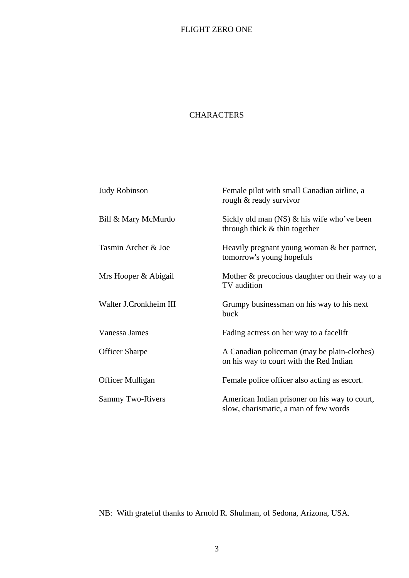#### **CHARACTERS**

| <b>Judy Robinson</b>    | Female pilot with small Canadian airline, a<br>rough & ready survivor                  |
|-------------------------|----------------------------------------------------------------------------------------|
| Bill & Mary McMurdo     | Sickly old man $(NS)$ & his wife who've been<br>through thick $&$ thin together        |
| Tasmin Archer & Joe     | Heavily pregnant young woman $&$ her partner,<br>tomorrow's young hopefuls             |
| Mrs Hooper & Abigail    | Mother & precocious daughter on their way to a<br>TV audition                          |
| Walter J.Cronkheim III  | Grumpy businessman on his way to his next<br>buck                                      |
| Vanessa James           | Fading actress on her way to a facelift                                                |
| <b>Officer Sharpe</b>   | A Canadian policeman (may be plain-clothes)<br>on his way to court with the Red Indian |
| <b>Officer Mulligan</b> | Female police officer also acting as escort.                                           |
| <b>Sammy Two-Rivers</b> | American Indian prisoner on his way to court,<br>slow, charismatic, a man of few words |

NB: With grateful thanks to Arnold R. Shulman, of Sedona, Arizona, USA.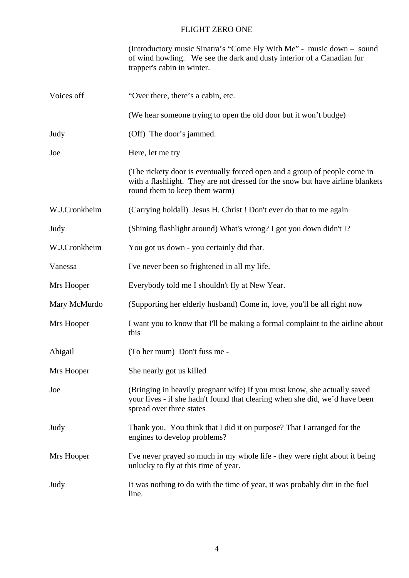|               | (Introductory music Sinatra's "Come Fly With Me" - music down - sound<br>of wind howling. We see the dark and dusty interior of a Canadian fur<br>trapper's cabin in winter.                 |
|---------------|----------------------------------------------------------------------------------------------------------------------------------------------------------------------------------------------|
| Voices off    | "Over there, there's a cabin, etc.                                                                                                                                                           |
|               | (We hear someone trying to open the old door but it won't budge)                                                                                                                             |
| Judy          | (Off) The door's jammed.                                                                                                                                                                     |
| Joe           | Here, let me try                                                                                                                                                                             |
|               | (The rickety door is eventually forced open and a group of people come in<br>with a flashlight. They are not dressed for the snow but have airline blankets<br>round them to keep them warm) |
| W.J.Cronkheim | (Carrying holdall) Jesus H. Christ ! Don't ever do that to me again                                                                                                                          |
| Judy          | (Shining flashlight around) What's wrong? I got you down didn't I?                                                                                                                           |
| W.J.Cronkheim | You got us down - you certainly did that.                                                                                                                                                    |
| Vanessa       | I've never been so frightened in all my life.                                                                                                                                                |
| Mrs Hooper    | Everybody told me I shouldn't fly at New Year.                                                                                                                                               |
| Mary McMurdo  | (Supporting her elderly husband) Come in, love, you'll be all right now                                                                                                                      |
| Mrs Hooper    | I want you to know that I'll be making a formal complaint to the airline about<br>this                                                                                                       |
| Abigail       | (To her mum) Don't fuss me -                                                                                                                                                                 |
| Mrs Hooper    | She nearly got us killed                                                                                                                                                                     |
| Joe           | (Bringing in heavily pregnant wife) If you must know, she actually saved<br>your lives - if she hadn't found that clearing when she did, we'd have been<br>spread over three states          |
| Judy          | Thank you. You think that I did it on purpose? That I arranged for the<br>engines to develop problems?                                                                                       |
| Mrs Hooper    | I've never prayed so much in my whole life - they were right about it being<br>unlucky to fly at this time of year.                                                                          |
| Judy          | It was nothing to do with the time of year, it was probably dirt in the fuel<br>line.                                                                                                        |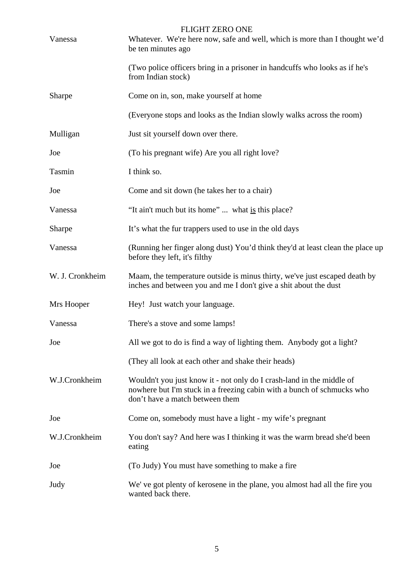| Vanessa         | <b>FLIGHT ZERO ONE</b><br>Whatever. We're here now, safe and well, which is more than I thought we'd<br>be ten minutes ago                                                         |
|-----------------|------------------------------------------------------------------------------------------------------------------------------------------------------------------------------------|
|                 | (Two police officers bring in a prisoner in handcuffs who looks as if he's<br>from Indian stock)                                                                                   |
| Sharpe          | Come on in, son, make yourself at home                                                                                                                                             |
|                 | (Everyone stops and looks as the Indian slowly walks across the room)                                                                                                              |
| Mulligan        | Just sit yourself down over there.                                                                                                                                                 |
| Joe             | (To his pregnant wife) Are you all right love?                                                                                                                                     |
| Tasmin          | I think so.                                                                                                                                                                        |
| Joe             | Come and sit down (he takes her to a chair)                                                                                                                                        |
| Vanessa         | "It ain't much but its home"  what is this place?                                                                                                                                  |
| Sharpe          | It's what the fur trappers used to use in the old days                                                                                                                             |
| Vanessa         | (Running her finger along dust) You'd think they'd at least clean the place up<br>before they left, it's filthy                                                                    |
| W. J. Cronkheim | Maam, the temperature outside is minus thirty, we've just escaped death by<br>inches and between you and me I don't give a shit about the dust                                     |
| Mrs Hooper      | Hey! Just watch your language.                                                                                                                                                     |
| Vanessa         | There's a stove and some lamps!                                                                                                                                                    |
| Joe             | All we got to do is find a way of lighting them. Anybody got a light?                                                                                                              |
|                 | (They all look at each other and shake their heads)                                                                                                                                |
| W.J.Cronkheim   | Wouldn't you just know it - not only do I crash-land in the middle of<br>nowhere but I'm stuck in a freezing cabin with a bunch of schmucks who<br>don't have a match between them |
| Joe             | Come on, somebody must have a light - my wife's pregnant                                                                                                                           |
| W.J.Cronkheim   | You don't say? And here was I thinking it was the warm bread she'd been<br>eating                                                                                                  |
| Joe             | (To Judy) You must have something to make a fire                                                                                                                                   |
| Judy            | We've got plenty of kerosene in the plane, you almost had all the fire you<br>wanted back there.                                                                                   |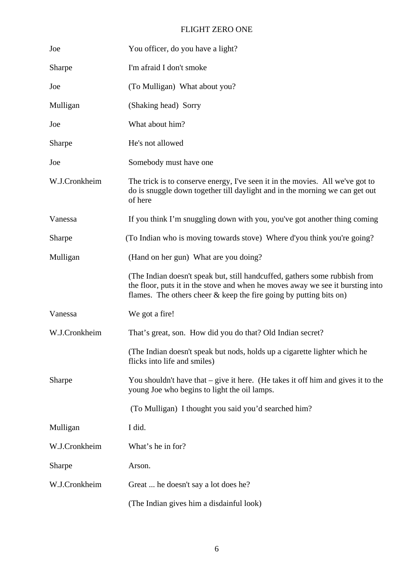| Joe           | You officer, do you have a light?                                                                                                                                                                                                     |
|---------------|---------------------------------------------------------------------------------------------------------------------------------------------------------------------------------------------------------------------------------------|
| Sharpe        | I'm afraid I don't smoke                                                                                                                                                                                                              |
| Joe           | (To Mulligan) What about you?                                                                                                                                                                                                         |
| Mulligan      | (Shaking head) Sorry                                                                                                                                                                                                                  |
| Joe           | What about him?                                                                                                                                                                                                                       |
| Sharpe        | He's not allowed                                                                                                                                                                                                                      |
| Joe           | Somebody must have one                                                                                                                                                                                                                |
| W.J.Cronkheim | The trick is to conserve energy, I've seen it in the movies. All we've got to<br>do is snuggle down together till daylight and in the morning we can get out<br>of here                                                               |
| Vanessa       | If you think I'm snuggling down with you, you've got another thing coming                                                                                                                                                             |
| Sharpe        | (To Indian who is moving towards stove) Where d'you think you're going?                                                                                                                                                               |
| Mulligan      | (Hand on her gun) What are you doing?                                                                                                                                                                                                 |
|               | (The Indian doesn't speak but, still handcuffed, gathers some rubbish from<br>the floor, puts it in the stove and when he moves away we see it bursting into<br>flames. The others cheer $\&$ keep the fire going by putting bits on) |
| Vanessa       | We got a fire!                                                                                                                                                                                                                        |
| W.J.Cronkheim | That's great, son. How did you do that? Old Indian secret?                                                                                                                                                                            |
|               | (The Indian doesn't speak but nods, holds up a cigarette lighter which he<br>flicks into life and smiles)                                                                                                                             |
| Sharpe        | You shouldn't have that $-$ give it here. (He takes it off him and gives it to the<br>young Joe who begins to light the oil lamps.                                                                                                    |
|               | (To Mulligan) I thought you said you'd searched him?                                                                                                                                                                                  |
| Mulligan      | I did.                                                                                                                                                                                                                                |
| W.J.Cronkheim | What's he in for?                                                                                                                                                                                                                     |
| Sharpe        | Arson.                                                                                                                                                                                                                                |
| W.J.Cronkheim | Great  he doesn't say a lot does he?                                                                                                                                                                                                  |
|               | (The Indian gives him a disdainful look)                                                                                                                                                                                              |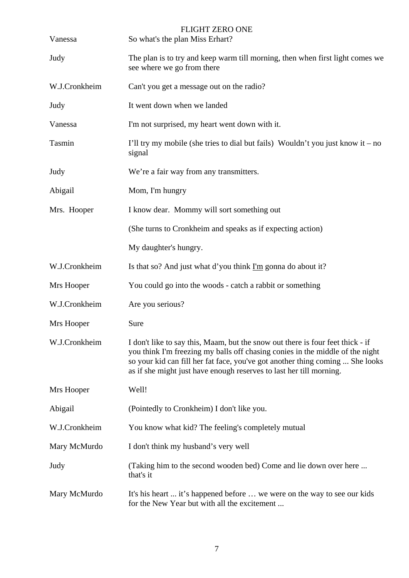| Vanessa       | <b>FLIGHT ZERO ONE</b><br>So what's the plan Miss Erhart?                                                                                                                                                                                                                                                               |
|---------------|-------------------------------------------------------------------------------------------------------------------------------------------------------------------------------------------------------------------------------------------------------------------------------------------------------------------------|
| Judy          | The plan is to try and keep warm till morning, then when first light comes we<br>see where we go from there                                                                                                                                                                                                             |
| W.J.Cronkheim | Can't you get a message out on the radio?                                                                                                                                                                                                                                                                               |
| Judy          | It went down when we landed                                                                                                                                                                                                                                                                                             |
| Vanessa       | I'm not surprised, my heart went down with it.                                                                                                                                                                                                                                                                          |
| Tasmin        | I'll try my mobile (she tries to dial but fails) Wouldn't you just know it – no<br>signal                                                                                                                                                                                                                               |
| Judy          | We're a fair way from any transmitters.                                                                                                                                                                                                                                                                                 |
| Abigail       | Mom, I'm hungry                                                                                                                                                                                                                                                                                                         |
| Mrs. Hooper   | I know dear. Mommy will sort something out                                                                                                                                                                                                                                                                              |
|               | (She turns to Cronkheim and speaks as if expecting action)                                                                                                                                                                                                                                                              |
|               | My daughter's hungry.                                                                                                                                                                                                                                                                                                   |
| W.J.Cronkheim | Is that so? And just what d'you think $\Gamma m$ gonna do about it?                                                                                                                                                                                                                                                     |
| Mrs Hooper    | You could go into the woods - catch a rabbit or something                                                                                                                                                                                                                                                               |
| W.J.Cronkheim | Are you serious?                                                                                                                                                                                                                                                                                                        |
| Mrs Hooper    | Sure                                                                                                                                                                                                                                                                                                                    |
| W.J.Cronkheim | I don't like to say this, Maam, but the snow out there is four feet thick - if<br>you think I'm freezing my balls off chasing conies in the middle of the night<br>so your kid can fill her fat face, you've got another thing coming  She looks<br>as if she might just have enough reserves to last her till morning. |
| Mrs Hooper    | Well!                                                                                                                                                                                                                                                                                                                   |
| Abigail       | (Pointedly to Cronkheim) I don't like you.                                                                                                                                                                                                                                                                              |
| W.J.Cronkheim | You know what kid? The feeling's completely mutual                                                                                                                                                                                                                                                                      |
| Mary McMurdo  | I don't think my husband's very well                                                                                                                                                                                                                                                                                    |
| Judy          | (Taking him to the second wooden bed) Come and lie down over here<br>that's it                                                                                                                                                                                                                                          |
| Mary McMurdo  | It's his heart  it's happened before  we were on the way to see our kids<br>for the New Year but with all the excitement                                                                                                                                                                                                |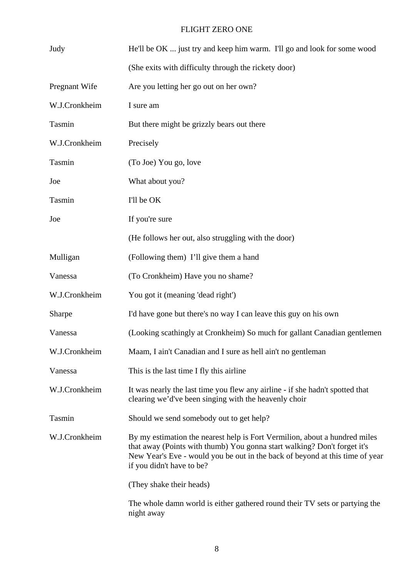| Judy          | He'll be OK  just try and keep him warm. I'll go and look for some wood                                                                                                                                                                                             |
|---------------|---------------------------------------------------------------------------------------------------------------------------------------------------------------------------------------------------------------------------------------------------------------------|
|               | (She exits with difficulty through the rickety door)                                                                                                                                                                                                                |
| Pregnant Wife | Are you letting her go out on her own?                                                                                                                                                                                                                              |
| W.J.Cronkheim | I sure am                                                                                                                                                                                                                                                           |
| Tasmin        | But there might be grizzly bears out there                                                                                                                                                                                                                          |
| W.J.Cronkheim | Precisely                                                                                                                                                                                                                                                           |
| Tasmin        | (To Joe) You go, love                                                                                                                                                                                                                                               |
| Joe           | What about you?                                                                                                                                                                                                                                                     |
| Tasmin        | I'll be OK                                                                                                                                                                                                                                                          |
| Joe           | If you're sure                                                                                                                                                                                                                                                      |
|               | (He follows her out, also struggling with the door)                                                                                                                                                                                                                 |
| Mulligan      | (Following them) I'll give them a hand                                                                                                                                                                                                                              |
| Vanessa       | (To Cronkheim) Have you no shame?                                                                                                                                                                                                                                   |
| W.J.Cronkheim | You got it (meaning 'dead right')                                                                                                                                                                                                                                   |
| Sharpe        | I'd have gone but there's no way I can leave this guy on his own                                                                                                                                                                                                    |
| Vanessa       | (Looking scathingly at Cronkheim) So much for gallant Canadian gentlemen                                                                                                                                                                                            |
| W.J.Cronkheim | Maam, I ain't Canadian and I sure as hell ain't no gentleman                                                                                                                                                                                                        |
| Vanessa       | This is the last time I fly this airline                                                                                                                                                                                                                            |
| W.J.Cronkheim | It was nearly the last time you flew any airline - if she hadn't spotted that<br>clearing we'd've been singing with the heavenly choir                                                                                                                              |
| Tasmin        | Should we send somebody out to get help?                                                                                                                                                                                                                            |
| W.J.Cronkheim | By my estimation the nearest help is Fort Vermilion, about a hundred miles<br>that away (Points with thumb) You gonna start walking? Don't forget it's<br>New Year's Eve - would you be out in the back of beyond at this time of year<br>if you didn't have to be? |
|               | (They shake their heads)                                                                                                                                                                                                                                            |
|               | The whole damn world is either gathered round their TV sets or partying the<br>night away                                                                                                                                                                           |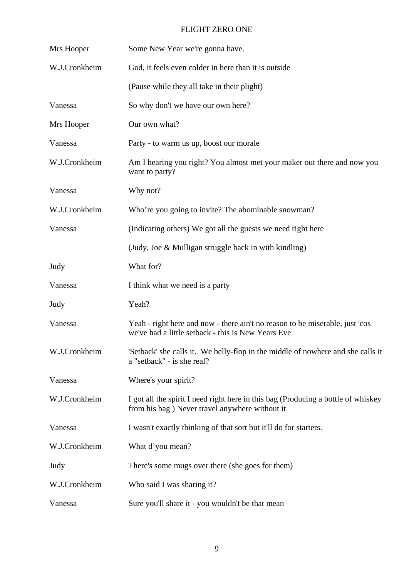| Mrs Hooper    | Some New Year we're gonna have.                                                                                                     |
|---------------|-------------------------------------------------------------------------------------------------------------------------------------|
| W.J.Cronkheim | God, it feels even colder in here than it is outside                                                                                |
|               | (Pause while they all take in their plight)                                                                                         |
| Vanessa       | So why don't we have our own here?                                                                                                  |
| Mrs Hooper    | Our own what?                                                                                                                       |
| Vanessa       | Party - to warm us up, boost our morale                                                                                             |
| W.J.Cronkheim | Am I hearing you right? You almost met your maker out there and now you<br>want to party?                                           |
| Vanessa       | Why not?                                                                                                                            |
| W.J.Cronkheim | Who're you going to invite? The abominable snowman?                                                                                 |
| Vanessa       | (Indicating others) We got all the guests we need right here                                                                        |
|               | (Judy, Joe & Mulligan struggle back in with kindling)                                                                               |
| Judy          | What for?                                                                                                                           |
| Vanessa       | I think what we need is a party                                                                                                     |
| Judy          | Yeah?                                                                                                                               |
| Vanessa       | Yeah - right here and now - there ain't no reason to be miserable, just 'cos<br>we've had a little setback - this is New Years Eve  |
| W.J.Cronkheim | 'Setback' she calls it. We belly-flop in the middle of nowhere and she calls it<br>a "setback" - is she real?                       |
| Vanessa       | Where's your spirit?                                                                                                                |
| W.J.Cronkheim | I got all the spirit I need right here in this bag (Producing a bottle of whiskey<br>from his bag) Never travel anywhere without it |
| Vanessa       | I wasn't exactly thinking of that sort but it'll do for starters.                                                                   |
| W.J.Cronkheim | What d'you mean?                                                                                                                    |
| Judy          | There's some mugs over there (she goes for them)                                                                                    |
| W.J.Cronkheim |                                                                                                                                     |
|               | Who said I was sharing it?                                                                                                          |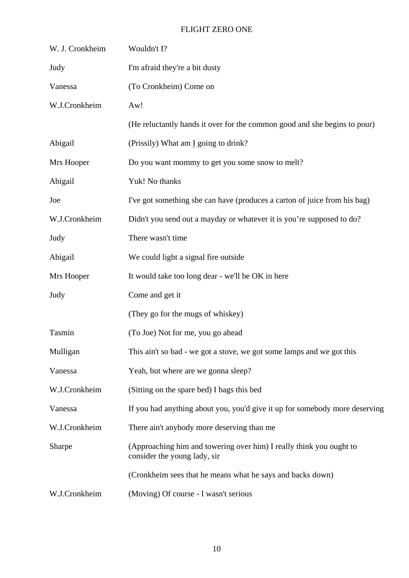| W. J. Cronkheim | Wouldn't I?                                                                                         |
|-----------------|-----------------------------------------------------------------------------------------------------|
| Judy            | I'm afraid they're a bit dusty                                                                      |
| Vanessa         | (To Cronkheim) Come on                                                                              |
| W.J.Cronkheim   | Aw!                                                                                                 |
|                 | (He reluctantly hands it over for the common good and she begins to pour)                           |
| Abigail         | (Prissily) What am I going to drink?                                                                |
| Mrs Hooper      | Do you want mommy to get you some snow to melt?                                                     |
| Abigail         | Yuk! No thanks                                                                                      |
| Joe             | I've got something she can have (produces a carton of juice from his bag)                           |
| W.J.Cronkheim   | Didn't you send out a mayday or whatever it is you're supposed to do?                               |
| Judy            | There wasn't time                                                                                   |
| Abigail         | We could light a signal fire outside                                                                |
| Mrs Hooper      | It would take too long dear - we'll be OK in here                                                   |
| Judy            | Come and get it                                                                                     |
|                 | (They go for the mugs of whiskey)                                                                   |
| Tasmin          | (To Joe) Not for me, you go ahead                                                                   |
| Mulligan        | This ain't so bad - we got a stove, we got some lamps and we got this                               |
| Vanessa         | Yeah, but where are we gonna sleep?                                                                 |
| W.J.Cronkheim   | (Sitting on the spare bed) I bags this bed                                                          |
| Vanessa         | If you had anything about you, you'd give it up for somebody more deserving                         |
| W.J.Cronkheim   | There ain't anybody more deserving than me                                                          |
| Sharpe          | (Approaching him and towering over him) I really think you ought to<br>consider the young lady, sir |
|                 | (Cronkheim sees that he means what he says and backs down)                                          |
| W.J.Cronkheim   | (Moving) Of course - I wasn't serious                                                               |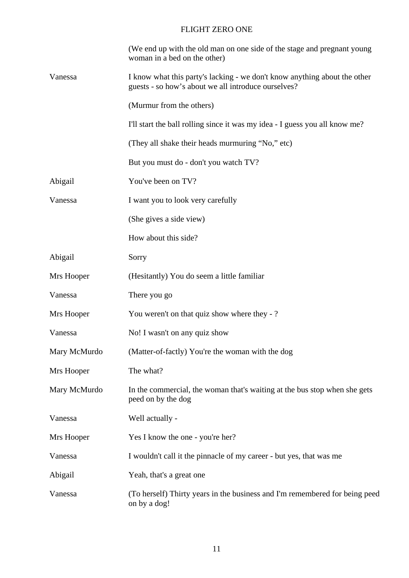|              | (We end up with the old man on one side of the stage and pregnant young<br>woman in a bed on the other)                          |
|--------------|----------------------------------------------------------------------------------------------------------------------------------|
| Vanessa      | I know what this party's lacking - we don't know anything about the other<br>guests - so how's about we all introduce ourselves? |
|              | (Murmur from the others)                                                                                                         |
|              | I'll start the ball rolling since it was my idea - I guess you all know me?                                                      |
|              | (They all shake their heads murmuring "No," etc)                                                                                 |
|              | But you must do - don't you watch TV?                                                                                            |
| Abigail      | You've been on TV?                                                                                                               |
| Vanessa      | I want you to look very carefully                                                                                                |
|              | (She gives a side view)                                                                                                          |
|              | How about this side?                                                                                                             |
| Abigail      | Sorry                                                                                                                            |
| Mrs Hooper   | (Hesitantly) You do seem a little familiar                                                                                       |
| Vanessa      | There you go                                                                                                                     |
| Mrs Hooper   | You weren't on that quiz show where they -?                                                                                      |
| Vanessa      | No! I wasn't on any quiz show                                                                                                    |
| Mary McMurdo | (Matter-of-factly) You're the woman with the dog                                                                                 |
| Mrs Hooper   | The what?                                                                                                                        |
| Mary McMurdo | In the commercial, the woman that's waiting at the bus stop when she gets<br>peed on by the dog                                  |
| Vanessa      | Well actually -                                                                                                                  |
| Mrs Hooper   | Yes I know the one - you're her?                                                                                                 |
| Vanessa      | I wouldn't call it the pinnacle of my career - but yes, that was me                                                              |
| Abigail      | Yeah, that's a great one                                                                                                         |
| Vanessa      | (To herself) Thirty years in the business and I'm remembered for being peed<br>on by a dog!                                      |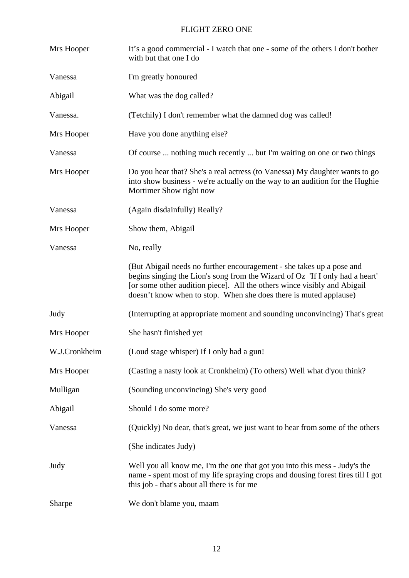| Mrs Hooper    | It's a good commercial - I watch that one - some of the others I don't bother<br>with but that one I do                                                                                                                                                                                                |
|---------------|--------------------------------------------------------------------------------------------------------------------------------------------------------------------------------------------------------------------------------------------------------------------------------------------------------|
| Vanessa       | I'm greatly honoured                                                                                                                                                                                                                                                                                   |
| Abigail       | What was the dog called?                                                                                                                                                                                                                                                                               |
| Vanessa.      | (Tetchily) I don't remember what the damned dog was called!                                                                                                                                                                                                                                            |
| Mrs Hooper    | Have you done anything else?                                                                                                                                                                                                                                                                           |
| Vanessa       | Of course  nothing much recently  but I'm waiting on one or two things                                                                                                                                                                                                                                 |
| Mrs Hooper    | Do you hear that? She's a real actress (to Vanessa) My daughter wants to go<br>into show business - we're actually on the way to an audition for the Hughie<br>Mortimer Show right now                                                                                                                 |
| Vanessa       | (Again disdainfully) Really?                                                                                                                                                                                                                                                                           |
| Mrs Hooper    | Show them, Abigail                                                                                                                                                                                                                                                                                     |
| Vanessa       | No, really                                                                                                                                                                                                                                                                                             |
|               | (But Abigail needs no further encouragement - she takes up a pose and<br>begins singing the Lion's song from the Wizard of Oz 'If I only had a heart'<br>[or some other audition piece]. All the others wince visibly and Abigail<br>doesn't know when to stop. When she does there is muted applause) |
| Judy          | (Interrupting at appropriate moment and sounding unconvincing) That's great                                                                                                                                                                                                                            |
| Mrs Hooper    | She hasn't finished yet                                                                                                                                                                                                                                                                                |
| W.J.Cronkheim | (Loud stage whisper) If I only had a gun!                                                                                                                                                                                                                                                              |
| Mrs Hooper    | (Casting a nasty look at Cronkheim) (To others) Well what d'you think?                                                                                                                                                                                                                                 |
| Mulligan      | (Sounding unconvincing) She's very good                                                                                                                                                                                                                                                                |
| Abigail       | Should I do some more?                                                                                                                                                                                                                                                                                 |
| Vanessa       | (Quickly) No dear, that's great, we just want to hear from some of the others                                                                                                                                                                                                                          |
|               | (She indicates Judy)                                                                                                                                                                                                                                                                                   |
| Judy          | Well you all know me, I'm the one that got you into this mess - Judy's the<br>name - spent most of my life spraying crops and dousing forest fires till I got<br>this job - that's about all there is for me                                                                                           |
| Sharpe        | We don't blame you, maam                                                                                                                                                                                                                                                                               |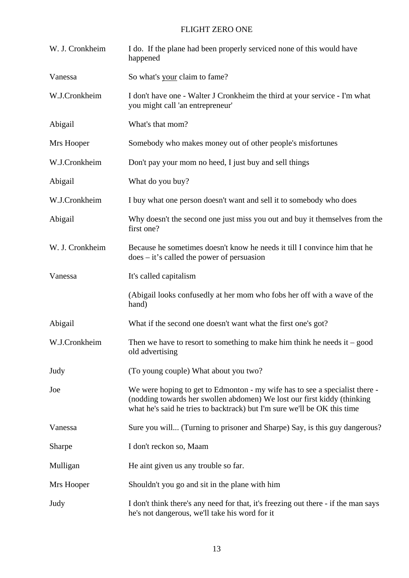| W. J. Cronkheim | I do. If the plane had been properly serviced none of this would have<br>happened                                                                                                                                                  |
|-----------------|------------------------------------------------------------------------------------------------------------------------------------------------------------------------------------------------------------------------------------|
| Vanessa         | So what's your claim to fame?                                                                                                                                                                                                      |
| W.J.Cronkheim   | I don't have one - Walter J Cronkheim the third at your service - I'm what<br>you might call 'an entrepreneur'                                                                                                                     |
| Abigail         | What's that mom?                                                                                                                                                                                                                   |
| Mrs Hooper      | Somebody who makes money out of other people's misfortunes                                                                                                                                                                         |
| W.J.Cronkheim   | Don't pay your mom no heed, I just buy and sell things                                                                                                                                                                             |
| Abigail         | What do you buy?                                                                                                                                                                                                                   |
| W.J.Cronkheim   | I buy what one person doesn't want and sell it to somebody who does                                                                                                                                                                |
| Abigail         | Why doesn't the second one just miss you out and buy it themselves from the<br>first one?                                                                                                                                          |
| W. J. Cronkheim | Because he sometimes doesn't know he needs it till I convince him that he<br>$does - it's called the power of p-transion$                                                                                                          |
| Vanessa         | It's called capitalism                                                                                                                                                                                                             |
|                 | (Abigail looks confusedly at her mom who fobs her off with a wave of the<br>hand)                                                                                                                                                  |
| Abigail         | What if the second one doesn't want what the first one's got?                                                                                                                                                                      |
| W.J.Cronkheim   | Then we have to resort to something to make him think he needs it $-$ good<br>old advertising                                                                                                                                      |
| Judy            | (To young couple) What about you two?                                                                                                                                                                                              |
| Joe             | We were hoping to get to Edmonton - my wife has to see a specialist there -<br>(nodding towards her swollen abdomen) We lost our first kiddy (thinking<br>what he's said he tries to backtrack) but I'm sure we'll be OK this time |
| Vanessa         | Sure you will (Turning to prisoner and Sharpe) Say, is this guy dangerous?                                                                                                                                                         |
| Sharpe          | I don't reckon so, Maam                                                                                                                                                                                                            |
| Mulligan        | He aint given us any trouble so far.                                                                                                                                                                                               |
| Mrs Hooper      | Shouldn't you go and sit in the plane with him                                                                                                                                                                                     |
| Judy            | I don't think there's any need for that, it's freezing out there - if the man says<br>he's not dangerous, we'll take his word for it                                                                                               |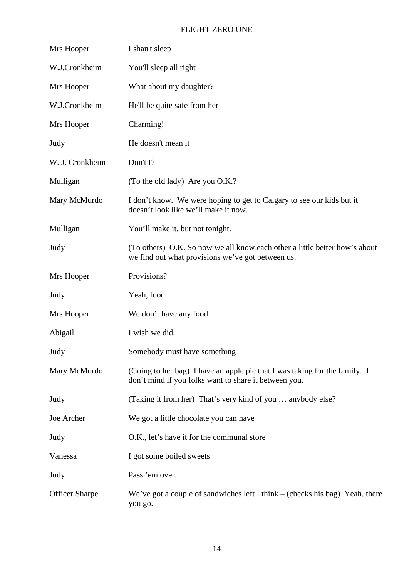| Mrs Hooper            | I shan't sleep                                                                                                                      |
|-----------------------|-------------------------------------------------------------------------------------------------------------------------------------|
| W.J.Cronkheim         | You'll sleep all right                                                                                                              |
| Mrs Hooper            | What about my daughter?                                                                                                             |
| W.J.Cronkheim         | He'll be quite safe from her                                                                                                        |
| Mrs Hooper            | Charming!                                                                                                                           |
| Judy                  | He doesn't mean it                                                                                                                  |
| W. J. Cronkheim       | Don't I?                                                                                                                            |
| Mulligan              | (To the old lady) Are you O.K.?                                                                                                     |
| Mary McMurdo          | I don't know. We were hoping to get to Calgary to see our kids but it<br>doesn't look like we'll make it now.                       |
| Mulligan              | You'll make it, but not tonight.                                                                                                    |
| Judy                  | (To others) O.K. So now we all know each other a little better how's about<br>we find out what provisions we've got between us.     |
| Mrs Hooper            | Provisions?                                                                                                                         |
| Judy                  | Yeah, food                                                                                                                          |
| Mrs Hooper            | We don't have any food                                                                                                              |
| Abigail               | I wish we did.                                                                                                                      |
| Judy                  | Somebody must have something                                                                                                        |
| Mary McMurdo          | (Going to her bag) I have an apple pie that I was taking for the family. I<br>don't mind if you folks want to share it between you. |
| Judy                  | (Taking it from her) That's very kind of you  anybody else?                                                                         |
| Joe Archer            | We got a little chocolate you can have                                                                                              |
| Judy                  | O.K., let's have it for the communal store                                                                                          |
| Vanessa               | I got some boiled sweets                                                                                                            |
| Judy                  | Pass 'em over.                                                                                                                      |
| <b>Officer Sharpe</b> | We've got a couple of sandwiches left I think $-$ (checks his bag) Yeah, there<br>you go.                                           |